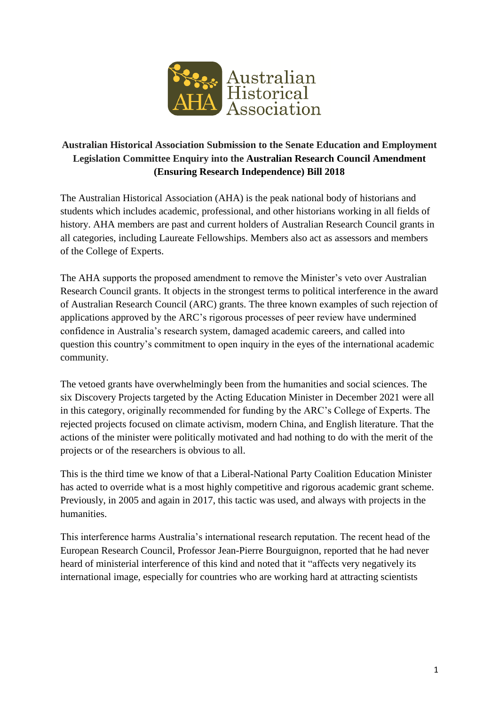

## **Australian Historical Association Submission to the Senate Education and Employment Legislation Committee Enquiry into the Australian Research Council Amendment (Ensuring Research Independence) Bill 2018**

The Australian Historical Association (AHA) is the peak national body of historians and students which includes academic, professional, and other historians working in all fields of history. AHA members are past and current holders of Australian Research Council grants in all categories, including Laureate Fellowships. Members also act as assessors and members of the College of Experts.

The AHA supports the proposed amendment to remove the Minister's veto over Australian Research Council grants. It objects in the strongest terms to political interference in the award of Australian Research Council (ARC) grants. The three known examples of such rejection of applications approved by the ARC's rigorous processes of peer review have undermined confidence in Australia's research system, damaged academic careers, and called into question this country's commitment to open inquiry in the eyes of the international academic community.

The vetoed grants have overwhelmingly been from the humanities and social sciences. The six Discovery Projects targeted by the Acting Education Minister in December 2021 were all in this category, originally recommended for funding by the ARC's College of Experts. The rejected projects focused on climate activism, modern China, and English literature. That the actions of the minister were politically motivated and had nothing to do with the merit of the projects or of the researchers is obvious to all.

This is the third time we know of that a Liberal-National Party Coalition Education Minister has acted to override what is a most highly competitive and rigorous academic grant scheme. Previously, in 2005 and again in 2017, this tactic was used, and always with projects in the humanities.

This interference harms Australia's international research reputation. The recent head of the European Research Council, Professor Jean-Pierre Bourguignon, reported that he had never heard of ministerial interference of this kind and noted that it "affects very negatively its international image, especially for countries who are working hard at attracting scientists